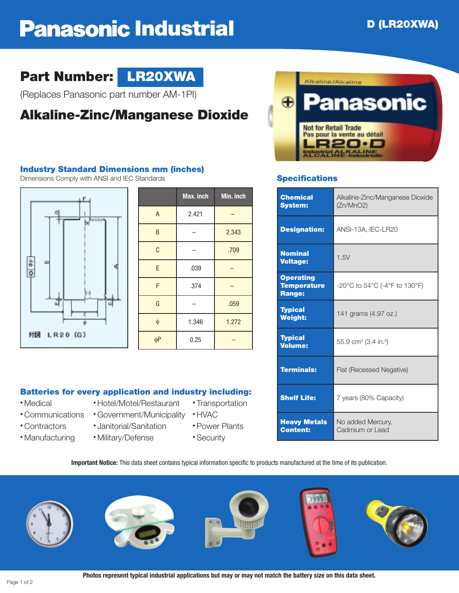# **Panasonic Industrial D D** (LR20XWA)

## **Part Number: LR20XWA**



(Replaces Panasonic part number AM-1PI)

## **Alkaline-Zinc/Manganese Dioxide**

#### **Industry Standard Dimensions mm (inches)**

Dimensions Comply with ANSI and IEC Standards **Specifications**



|             | Max. inch | Min. inch |
|-------------|-----------|-----------|
| A           | 2.421     |           |
| B           |           | 2.343     |
| $\mathbf C$ |           | .709      |
| E           | .039      |           |
| F           | .374      |           |
| G           |           | .059      |
| $\phi$      | 1.346     | 1.272     |
| $\phi P$    | 0.25      |           |

#### **Batteries for every application and industry including:**

- 
- Communications Government/Municipality HVAC
- 
- 
- Contractors Janitorial/Sanitation Power Plants
- Manufacturing Military/Defense Security
- Medical Hotel/Motel/Restaurant Transportation
	- -
		-



| <b>Chemical</b><br><b>System:</b>                       | Alkaline-Zinc/Manganese Dioxide<br>(Zn/MnO2) |  |
|---------------------------------------------------------|----------------------------------------------|--|
| <b>Designation:</b>                                     | ANSI-13A, IEC-LR20                           |  |
| <b>Nominal</b><br><b>Voltage:</b>                       | 1.5V                                         |  |
| <b>Operating</b><br><b>Temperature</b><br><b>Range:</b> | -20°C to 54°C (-4°F to 130°F)                |  |
| <b>Typical</b><br><b>Weight:</b>                        | 141 grams (4.97 oz.)                         |  |
| <b>Typical</b><br><b>Volume:</b>                        | 55.9 cm <sup>3</sup> (3.4 in. <sup>3</sup> ) |  |
| <b>Terminals:</b>                                       | Flat (Recessed Negative)                     |  |
| <b>Shelf Life:</b>                                      | 7 years (80% Capacity)                       |  |
| <b>Heavy Metals</b><br><b>Content:</b>                  | No added Mercury,<br>Cadmium or Lead         |  |

**Important Notice:** This data sheet contains typical information specific to products manufactured at the time of its publication.